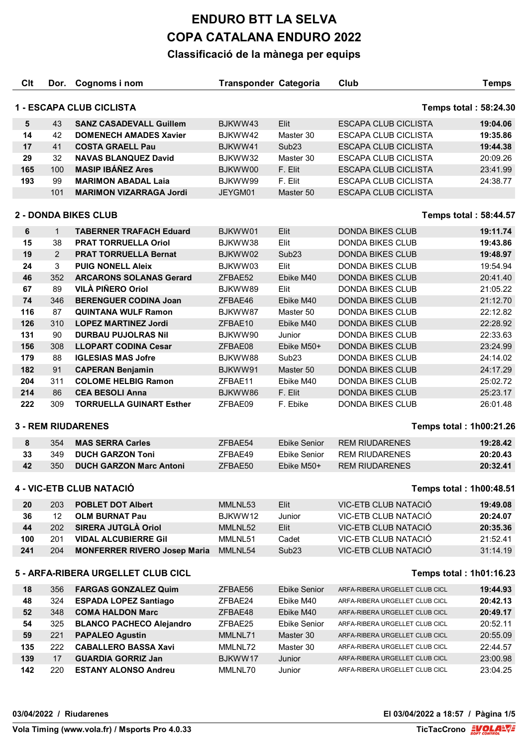| Clt                                                           | Dor.         | Cognoms i nom                       | <b>Transponder Categoria</b> |                     | Club                           | <b>Temps</b> |  |
|---------------------------------------------------------------|--------------|-------------------------------------|------------------------------|---------------------|--------------------------------|--------------|--|
|                                                               |              |                                     |                              |                     |                                |              |  |
|                                                               |              | 1 - ESCAPA CLUB CICLISTA            |                              |                     | <b>Temps total: 58:24.30</b>   |              |  |
| $5\phantom{1}$                                                | 43           | <b>SANZ CASADEVALL Guillem</b>      | BJKWW43                      | Elit                | <b>ESCAPA CLUB CICLISTA</b>    | 19:04.06     |  |
| 14                                                            | 42           | <b>DOMENECH AMADES Xavier</b>       | BJKWW42                      | Master 30           | <b>ESCAPA CLUB CICLISTA</b>    | 19:35.86     |  |
| 17                                                            | 41           | <b>COSTA GRAELL Pau</b>             | BJKWW41                      | Sub <sub>23</sub>   | <b>ESCAPA CLUB CICLISTA</b>    | 19:44.38     |  |
| 29                                                            | 32           | <b>NAVAS BLANQUEZ David</b>         | BJKWW32                      | Master 30           | <b>ESCAPA CLUB CICLISTA</b>    | 20:09.26     |  |
| 165                                                           | 100          | <b>MASIP IBÁÑEZ Ares</b>            | BJKWW00                      | F. Elit             | <b>ESCAPA CLUB CICLISTA</b>    | 23:41.99     |  |
| 193                                                           | 99           | <b>MARIMON ABADAL Laia</b>          | BJKWW99                      | F. Elit             | <b>ESCAPA CLUB CICLISTA</b>    | 24:38.77     |  |
|                                                               | 101          | <b>MARIMON VIZARRAGA Jordi</b>      | JEYGM01                      | Master 50           | <b>ESCAPA CLUB CICLISTA</b>    |              |  |
| <b>2 - DONDA BIKES CLUB</b><br><b>Temps total: 58:44.57</b>   |              |                                     |                              |                     |                                |              |  |
| 6                                                             | $\mathbf{1}$ | <b>TABERNER TRAFACH Eduard</b>      | BJKWW01                      | Elit                | <b>DONDA BIKES CLUB</b>        | 19:11.74     |  |
| 15                                                            | 38           | <b>PRAT TORRUELLA Oriol</b>         | BJKWW38                      | Elit                | DONDA BIKES CLUB               | 19:43.86     |  |
| 19                                                            | 2            | <b>PRAT TORRUELLA Bernat</b>        | BJKWW02                      | Sub <sub>23</sub>   | <b>DONDA BIKES CLUB</b>        | 19:48.97     |  |
| 24                                                            | 3            | <b>PUIG NONELL Aleix</b>            | BJKWW03                      | Elit                | <b>DONDA BIKES CLUB</b>        | 19:54.94     |  |
| 46                                                            | 352          | <b>ARCARONS SOLANAS Gerard</b>      | ZFBAE52                      | Ebike M40           | <b>DONDA BIKES CLUB</b>        | 20:41.40     |  |
| 67                                                            | 89           | VILÀ PIÑERO Oriol                   | BJKWW89                      | Elit                | <b>DONDA BIKES CLUB</b>        | 21:05.22     |  |
| 74                                                            | 346          | <b>BERENGUER CODINA Joan</b>        | ZFBAE46                      | Ebike M40           | <b>DONDA BIKES CLUB</b>        | 21:12.70     |  |
| 116                                                           | 87           | <b>QUINTANA WULF Ramon</b>          | BJKWW87                      | Master 50           | <b>DONDA BIKES CLUB</b>        | 22:12.82     |  |
| 126                                                           | 310          | <b>LOPEZ MARTINEZ Jordi</b>         | ZFBAE10                      | Ebike M40           | <b>DONDA BIKES CLUB</b>        | 22:28.92     |  |
| 131                                                           | 90           | <b>DURBAU PUJOLRAS Nil</b>          | BJKWW90                      | Junior              | <b>DONDA BIKES CLUB</b>        | 22:33.63     |  |
| 156                                                           | 308          | <b>LLOPART CODINA Cesar</b>         | ZFBAE08                      | Ebike M50+          | <b>DONDA BIKES CLUB</b>        | 23:24.99     |  |
| 179                                                           | 88           | <b>IGLESIAS MAS Jofre</b>           | BJKWW88                      | Sub <sub>23</sub>   | <b>DONDA BIKES CLUB</b>        | 24:14.02     |  |
| 182                                                           | 91           | <b>CAPERAN Benjamin</b>             | BJKWW91                      | Master 50           | <b>DONDA BIKES CLUB</b>        | 24:17.29     |  |
| 204                                                           | 311          | <b>COLOME HELBIG Ramon</b>          | ZFBAE11                      | Ebike M40           | <b>DONDA BIKES CLUB</b>        | 25:02.72     |  |
| 214                                                           | 86           | <b>CEA BESOLI Anna</b>              | BJKWW86                      | F. Elit             | <b>DONDA BIKES CLUB</b>        | 25:23.17     |  |
| 222                                                           | 309          | <b>TORRUELLA GUINART Esther</b>     | ZFBAE09                      | F. Ebike            | <b>DONDA BIKES CLUB</b>        | 26:01.48     |  |
|                                                               |              | <b>3 - REM RIUDARENES</b>           |                              |                     | <b>Temps total: 1h00:21.26</b> |              |  |
| 8                                                             | 354          | <b>MAS SERRA Carles</b>             | ZFBAE54                      | <b>Ebike Senior</b> | <b>REM RIUDARENES</b>          | 19:28.42     |  |
| 33                                                            | 349          | <b>DUCH GARZON Toni</b>             | ZFBAE49                      | <b>Ebike Senior</b> | <b>REM RIUDARENES</b>          | 20:20.43     |  |
| 42                                                            | 350          | <b>DUCH GARZON Marc Antoni</b>      | ZFBAE50                      | Ebike M50+          | <b>REM RIUDARENES</b>          | 20:32.41     |  |
|                                                               |              |                                     |                              |                     |                                |              |  |
|                                                               |              | 4 - VIC-ETB CLUB NATACIÓ            |                              |                     | <b>Temps total: 1h00:48.51</b> |              |  |
| 20                                                            | 203          | <b>POBLET DOT Albert</b>            | MMLNL53                      | Elit                | VIC-ETB CLUB NATACIÓ           | 19:49.08     |  |
| 36                                                            | 12           | <b>OLM BURNAT Pau</b>               | BJKWW12                      | Junior              | VIC-ETB CLUB NATACIÓ           | 20:24.07     |  |
| 44                                                            | 202          | SIRERA JUTGLÀ Oriol                 | MMLNL52                      | Elit                | VIC-ETB CLUB NATACIÓ           | 20:35.36     |  |
| 100                                                           | 201          | <b>VIDAL ALCUBIERRE Gil</b>         | MMLNL51                      | Cadet               | VIC-ETB CLUB NATACIÓ           | 21:52.41     |  |
| 241                                                           | 204          | <b>MONFERRER RIVERO Josep Maria</b> | MMLNL54                      | Sub <sub>23</sub>   | VIC-ETB CLUB NATACIÓ           | 31:14.19     |  |
| 5 - ARFA-RIBERA URGELLET CLUB CICL<br>Temps total: 1h01:16.23 |              |                                     |                              |                     |                                |              |  |
| 18                                                            | 356          | <b>FARGAS GONZALEZ Quim</b>         | ZFBAE56                      | <b>Ebike Senior</b> | ARFA-RIBERA URGELLET CLUB CICL | 19:44.93     |  |
| 48                                                            | 324          | <b>ESPADA LOPEZ Santiago</b>        | ZFBAE24                      | Ebike M40           | ARFA-RIBERA URGELLET CLUB CICL | 20:42.13     |  |
| 52                                                            | 348          | <b>COMA HALDON Marc</b>             | ZFBAE48                      | Ebike M40           | ARFA-RIBERA URGELLET CLUB CICL | 20:49.17     |  |
| 54                                                            | 325          | <b>BLANCO PACHECO Alejandro</b>     | ZFBAE25                      | <b>Ebike Senior</b> | ARFA-RIBERA URGELLET CLUB CICL | 20:52.11     |  |
| 59                                                            | 221          | <b>PAPALEO Agustin</b>              | MMLNL71                      | Master 30           | ARFA-RIBERA URGELLET CLUB CICL | 20:55.09     |  |
| 135                                                           | 222          | <b>CABALLERO BASSA Xavi</b>         | MMLNL72                      | Master 30           | ARFA-RIBERA URGELLET CLUB CICL | 22:44.57     |  |
| 139                                                           | 17           | <b>GUARDIA GORRIZ Jan</b>           | BJKWW17                      | Junior              | ARFA-RIBERA URGELLET CLUB CICL | 23:00.98     |  |
| 142                                                           | 220          | <b>ESTANY ALONSO Andreu</b>         | MMLNL70                      | Junior              | ARFA-RIBERA URGELLET CLUB CICL | 23:04.25     |  |
|                                                               |              |                                     |                              |                     |                                |              |  |

**TicTacCrono** EVOLAEVE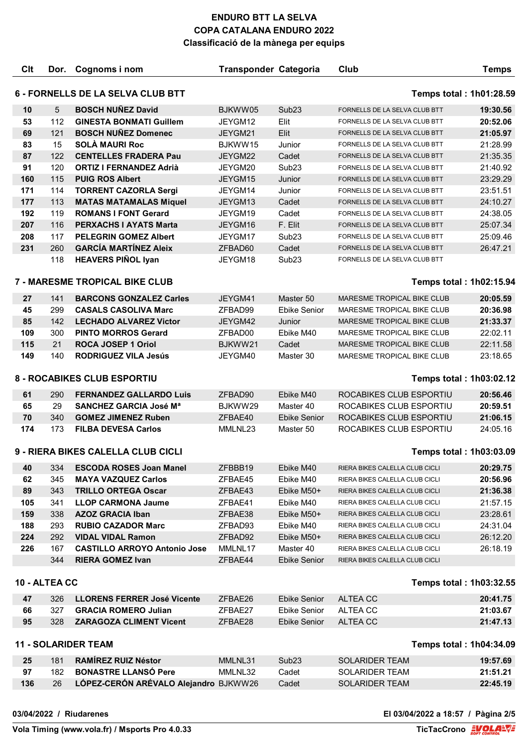| C <sub>It</sub>                                               | Dor. | Cognoms i nom                         | <b>Transponder Categoria</b> |                     | Club                              | <b>Temps</b>            |
|---------------------------------------------------------------|------|---------------------------------------|------------------------------|---------------------|-----------------------------------|-------------------------|
| 6 - FORNELLS DE LA SELVA CLUB BTT<br>Temps total: 1h01:28.59  |      |                                       |                              |                     |                                   |                         |
| 10                                                            | 5    | <b>BOSCH NUÑEZ David</b>              | BJKWW05                      | Sub <sub>23</sub>   | FORNELLS DE LA SELVA CLUB BTT     | 19:30.56                |
| 53                                                            | 112  | <b>GINESTA BONMATI Guillem</b>        | JEYGM12                      | Elit                | FORNELLS DE LA SELVA CLUB BTT     | 20:52.06                |
| 69                                                            | 121  | <b>BOSCH NUÑEZ Domenec</b>            | JEYGM21                      | Elit                | FORNELLS DE LA SELVA CLUB BTT     | 21:05.97                |
| 83                                                            | 15   | <b>SOLÀ MAURI Roc</b>                 | BJKWW15                      | Junior              | FORNELLS DE LA SELVA CLUB BTT     | 21:28.99                |
| 87                                                            | 122  | <b>CENTELLES FRADERA Pau</b>          | JEYGM22                      | Cadet               | FORNELLS DE LA SELVA CLUB BTT     | 21:35.35                |
| 91                                                            | 120  | <b>ORTIZ I FERNANDEZ Adrià</b>        | JEYGM20                      | Sub <sub>23</sub>   | FORNELLS DE LA SELVA CLUB BTT     | 21:40.92                |
| 160                                                           | 115  | <b>PUIG ROS Albert</b>                | JEYGM15                      | Junior              | FORNELLS DE LA SELVA CLUB BTT     | 23:29.29                |
| 171                                                           | 114  | <b>TORRENT CAZORLA Sergi</b>          | JEYGM14                      | Junior              | FORNELLS DE LA SELVA CLUB BTT     | 23:51.51                |
| 177                                                           | 113  | <b>MATAS MATAMALAS Miquel</b>         | JEYGM13                      | Cadet               | FORNELLS DE LA SELVA CLUB BTT     | 24:10.27                |
| 192                                                           | 119  | <b>ROMANS I FONT Gerard</b>           | JEYGM19                      | Cadet               | FORNELLS DE LA SELVA CLUB BTT     | 24:38.05                |
| 207                                                           | 116  | <b>PERXACHS I AYATS Marta</b>         | JEYGM16                      | F. Elit             | FORNELLS DE LA SELVA CLUB BTT     | 25:07.34                |
| 208                                                           | 117  | <b>PELEGRIN GOMEZ Albert</b>          | JEYGM17                      | Sub <sub>23</sub>   | FORNELLS DE LA SELVA CLUB BTT     | 25:09.46                |
| 231                                                           | 260  | <b>GARCÍA MARTÍNEZ Aleix</b>          | ZFBAD60                      | Cadet               | FORNELLS DE LA SELVA CLUB BTT     | 26:47.21                |
|                                                               | 118  | <b>HEAVERS PIÑOL Iyan</b>             | JEYGM18                      | Sub <sub>23</sub>   | FORNELLS DE LA SELVA CLUB BTT     |                         |
|                                                               |      | <b>7 - MARESME TROPICAL BIKE CLUB</b> |                              |                     |                                   | Temps total: 1h02:15.94 |
| 27                                                            | 141  | <b>BARCONS GONZALEZ Carles</b>        | JEYGM41                      | Master 50           | <b>MARESME TROPICAL BIKE CLUB</b> | 20:05.59                |
| 45                                                            | 299  | <b>CASALS CASOLIVA Marc</b>           | ZFBAD99                      | <b>Ebike Senior</b> | MARESME TROPICAL BIKE CLUB        | 20:36.98                |
| 85                                                            | 142  | <b>LECHADO ALVAREZ Victor</b>         | JEYGM42                      | Junior              | <b>MARESME TROPICAL BIKE CLUB</b> | 21:33.37                |
| 109                                                           | 300  | <b>PINTO MORROS Gerard</b>            | ZFBAD00                      | Ebike M40           | MARESME TROPICAL BIKE CLUB        | 22:02.11                |
| 115                                                           | 21   | <b>ROCA JOSEP 1 Oriol</b>             | BJKWW21                      | Cadet               | <b>MARESME TROPICAL BIKE CLUB</b> | 22:11.58                |
| 149                                                           | 140  | <b>RODRIGUEZ VILA Jesús</b>           | JEYGM40                      | Master 30           | MARESME TROPICAL BIKE CLUB        | 23:18.65                |
| 8 - ROCABIKES CLUB ESPORTIU<br>Temps total: 1h03:02.12        |      |                                       |                              |                     |                                   |                         |
| 61                                                            | 290  | <b>FERNANDEZ GALLARDO Luis</b>        | ZFBAD90                      | Ebike M40           | ROCABIKES CLUB ESPORTIU           | 20:56.46                |
| 65                                                            | 29   | <b>SANCHEZ GARCIA José Ma</b>         | BJKWW29                      | Master 40           | ROCABIKES CLUB ESPORTIU           | 20:59.51                |
| 70                                                            | 340  | <b>GOMEZ JIMENEZ Ruben</b>            | ZFBAE40                      | <b>Ebike Senior</b> | ROCABIKES CLUB ESPORTIU           | 21:06.15                |
| 174                                                           | 173  | <b>FILBA DEVESA Carlos</b>            | MMLNL23                      | Master 50           | ROCABIKES CLUB ESPORTIU           | 24:05.16                |
| 9 - RIERA BIKES CALELLA CLUB CICLI<br>Temps total: 1h03:03.09 |      |                                       |                              |                     |                                   |                         |
| 40                                                            | 334  | <b>ESCODA ROSES Joan Manel</b>        | ZFBBB19                      | Ebike M40           | RIERA BIKES CALELLA CLUB CICLI    | 20:29.75                |
| 62                                                            | 345  | <b>MAYA VAZQUEZ Carlos</b>            | ZFBAE45                      | Ebike M40           | RIERA BIKES CALELLA CLUB CICLI    | 20:56.96                |
| 89                                                            | 343  | <b>TRILLO ORTEGA Oscar</b>            | ZFBAE43                      | Ebike M50+          | RIERA BIKES CALELLA CLUB CICLI    | 21:36.38                |
| 105                                                           | 341  | <b>LLOP CARMONA Jaume</b>             | ZFBAE41                      | Ebike M40           | RIERA BIKES CALELLA CLUB CICLI    | 21:57.15                |
| 159                                                           | 338  | <b>AZOZ GRACIA Iban</b>               | ZFBAE38                      | Ebike M50+          | RIERA BIKES CALELLA CLUB CICLI    | 23:28.61                |
| 188                                                           | 293  | <b>RUBIO CAZADOR Marc</b>             | ZFBAD93                      | Ebike M40           | RIERA BIKES CALELLA CLUB CICLI    | 24:31.04                |
| 224                                                           | 292  | <b>VIDAL VIDAL Ramon</b>              | ZFBAD92                      | Ebike M50+          | RIERA BIKES CALELLA CLUB CICLI    | 26:12.20                |
| 226                                                           | 167  | <b>CASTILLO ARROYO Antonio Jose</b>   | MMLNL17                      | Master 40           | RIERA BIKES CALELLA CLUB CICLI    | 26:18.19                |
|                                                               | 344  | <b>RIERA GOMEZ Ivan</b>               | ZFBAE44                      | <b>Ebike Senior</b> | RIERA BIKES CALELLA CLUB CICLI    |                         |
| 10 - ALTEA CC                                                 |      |                                       |                              |                     |                                   | Temps total: 1h03:32.55 |
| 47                                                            | 326  | <b>LLORENS FERRER José Vicente</b>    | ZFBAE26                      | <b>Ebike Senior</b> | ALTEA CC                          | 20:41.75                |
| 66                                                            | 327  | <b>GRACIA ROMERO Julian</b>           | ZFBAE27                      | <b>Ebike Senior</b> | ALTEA CC                          | 21:03.67                |
| 95                                                            | 328  | <b>ZARAGOZA CLIMENT Vicent</b>        | ZFBAE28                      | <b>Ebike Senior</b> | <b>ALTEA CC</b>                   | 21:47.13                |
|                                                               |      | <b>11 - SOLARIDER TEAM</b>            |                              |                     |                                   | Temps total: 1h04:34.09 |
| 25                                                            | 181  | <b>RAMIREZ RUIZ Néstor</b>            | MMLNL31                      | Sub <sub>23</sub>   | <b>SOLARIDER TEAM</b>             | 19:57.69                |
| 97                                                            | 182  | <b>BONASTRE LLANSÓ Pere</b>           | MMLNL32                      | Cadet               | SOLARIDER TEAM                    | 21:51.21                |
| 136                                                           | 26   | LÓPEZ-CERÓN ARÉVALO Alejandro BJKWW26 |                              | Cadet               | <b>SOLARIDER TEAM</b>             | 22:45.19                |
|                                                               |      |                                       |                              |                     |                                   |                         |

**03/04/2022 / Riudarenes El 03/04/2022 a 18:57 / Pàgina 2/5**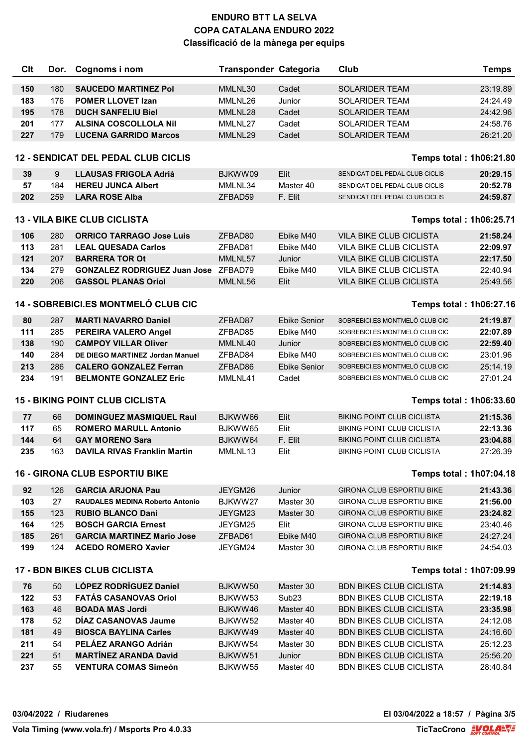| Clt | Dor.                                                           | Cognoms i nom                              | <b>Transponder Categoria</b> |                     | Club                              | <b>Temps</b> |
|-----|----------------------------------------------------------------|--------------------------------------------|------------------------------|---------------------|-----------------------------------|--------------|
| 150 | 180                                                            | <b>SAUCEDO MARTINEZ Pol</b>                | MMLNL30                      | Cadet               | <b>SOLARIDER TEAM</b>             | 23:19.89     |
| 183 | 176                                                            | <b>POMER LLOVET Izan</b>                   | MMLNL26                      | Junior              | <b>SOLARIDER TEAM</b>             | 24:24.49     |
| 195 | 178                                                            | <b>DUCH SANFELIU Biel</b>                  | MMLNL28                      | Cadet               | <b>SOLARIDER TEAM</b>             | 24:42.96     |
| 201 | 177                                                            | <b>ALSINA COSCOLLOLA Nil</b>               | MMLNL27                      | Cadet               | <b>SOLARIDER TEAM</b>             | 24:58.76     |
| 227 | 179                                                            | <b>LUCENA GARRIDO Marcos</b>               | MMLNL29                      | Cadet               | <b>SOLARIDER TEAM</b>             | 26:21.20     |
|     |                                                                |                                            |                              |                     |                                   |              |
|     |                                                                | <b>12 - SENDICAT DEL PEDAL CLUB CICLIS</b> |                              |                     | Temps total: 1h06:21.80           |              |
| 39  | 9                                                              | <b>LLAUSAS FRIGOLA Adrià</b>               | BJKWW09                      | Elit                | SENDICAT DEL PEDAL CLUB CICLIS    | 20:29.15     |
| 57  | 184                                                            | <b>HEREU JUNCA Albert</b>                  | MMLNL34                      | Master 40           | SENDICAT DEL PEDAL CLUB CICLIS    | 20:52.78     |
| 202 | 259                                                            | <b>LARA ROSE Alba</b>                      | ZFBAD59                      | F. Elit             | SENDICAT DEL PEDAL CLUB CICLIS    | 24:59.87     |
|     |                                                                | <b>13 - VILA BIKE CLUB CICLISTA</b>        |                              |                     | <b>Temps total: 1h06:25.71</b>    |              |
| 106 | 280                                                            | <b>ORRICO TARRAGO Jose Luis</b>            | ZFBAD80                      | Ebike M40           | <b>VILA BIKE CLUB CICLISTA</b>    | 21:58.24     |
| 113 | 281                                                            | <b>LEAL QUESADA Carlos</b>                 | ZFBAD81                      | Ebike M40           | <b>VILA BIKE CLUB CICLISTA</b>    | 22:09.97     |
| 121 | 207                                                            | <b>BARRERA TOR Ot</b>                      | MMLNL57                      | Junior              | <b>VILA BIKE CLUB CICLISTA</b>    | 22:17.50     |
| 134 | 279                                                            | <b>GONZALEZ RODRIGUEZ Juan Jose</b>        | ZFBAD79                      | Ebike M40           | <b>VILA BIKE CLUB CICLISTA</b>    | 22:40.94     |
| 220 | 206                                                            | <b>GASSOL PLANAS Oriol</b>                 | MMLNL56                      | Elit                | VILA BIKE CLUB CICLISTA           | 25:49.56     |
|     |                                                                | 14 - SOBREBICI.ES MONTMELÓ CLUB CIC        |                              |                     | Temps total: 1h06:27.16           |              |
| 80  | 287                                                            | <b>MARTI NAVARRO Daniel</b>                | ZFBAD87                      | <b>Ebike Senior</b> | SOBREBICI.ES MONTMELÓ CLUB CIC    | 21:19.87     |
| 111 | 285                                                            | PEREIRA VALERO Angel                       | ZFBAD85                      | Ebike M40           | SOBREBICI.ES MONTMELÓ CLUB CIC    | 22:07.89     |
| 138 | 190                                                            | <b>CAMPOY VILLAR Oliver</b>                | MMLNL40                      | Junior              | SOBREBICI.ES MONTMELÓ CLUB CIC    | 22:59.40     |
| 140 | 284                                                            | DE DIEGO MARTINEZ Jordan Manuel            | ZFBAD84                      | Ebike M40           | SOBREBICI.ES MONTMELÓ CLUB CIC    | 23:01.96     |
| 213 | 286                                                            | <b>CALERO GONZALEZ Ferran</b>              | ZFBAD86                      | <b>Ebike Senior</b> | SOBREBICI.ES MONTMELÓ CLUB CIC    | 25:14.19     |
| 234 | 191                                                            | <b>BELMONTE GONZALEZ Eric</b>              | MMLNL41                      | Cadet               | SOBREBICI.ES MONTMELÓ CLUB CIC    | 27:01.24     |
|     |                                                                | <b>15 - BIKING POINT CLUB CICLISTA</b>     |                              |                     | Temps total: 1h06:33.60           |              |
| 77  | 66                                                             | <b>DOMINGUEZ MASMIQUEL Raul</b>            | BJKWW66                      | Elit                | <b>BIKING POINT CLUB CICLISTA</b> | 21:15.36     |
| 117 | 65                                                             | <b>ROMERO MARULL Antonio</b>               | BJKWW65                      | Elit                | <b>BIKING POINT CLUB CICLISTA</b> | 22:13.36     |
| 144 | 64                                                             | <b>GAY MORENO Sara</b>                     | BJKWW64                      | F. Elit             | <b>BIKING POINT CLUB CICLISTA</b> | 23:04.88     |
| 235 | 163                                                            | <b>DAVILA RIVAS Franklin Martin</b>        | MMLNL13                      | Elit                | <b>BIKING POINT CLUB CICLISTA</b> | 27:26.39     |
|     |                                                                | <b>16 - GIRONA CLUB ESPORTIU BIKE</b>      |                              |                     |                                   |              |
|     |                                                                |                                            |                              |                     | Temps total: 1h07:04.18           |              |
| 92  | 126                                                            | <b>GARCIA ARJONA Pau</b>                   | JEYGM26                      | Junior              | <b>GIRONA CLUB ESPORTIU BIKE</b>  | 21:43.36     |
| 103 | 27                                                             | <b>RAUDALES MEDINA Roberto Antonio</b>     | BJKWW27                      | Master 30           | GIRONA CLUB ESPORTIU BIKE         | 21:56.00     |
| 155 | 123                                                            | <b>RUBIO BLANCO Dani</b>                   | JEYGM23                      | Master 30           | GIRONA CLUB ESPORTIU BIKE         | 23:24.82     |
| 164 | 125                                                            | <b>BOSCH GARCIA Ernest</b>                 | JEYGM25                      | Elit                | <b>GIRONA CLUB ESPORTIU BIKE</b>  | 23:40.46     |
| 185 | 261                                                            | <b>GARCIA MARTINEZ Mario Jose</b>          | ZFBAD61                      | Ebike M40           | <b>GIRONA CLUB ESPORTIU BIKE</b>  | 24:27.24     |
| 199 | 124                                                            | <b>ACEDO ROMERO Xavier</b>                 | JEYGM24                      | Master 30           | GIRONA CLUB ESPORTIU BIKE         | 24:54.03     |
|     | <b>17 - BDN BIKES CLUB CICLISTA</b><br>Temps total: 1h07:09.99 |                                            |                              |                     |                                   |              |
| 76  | 50                                                             | LÓPEZ RODRÍGUEZ Daniel                     | BJKWW50                      | Master 30           | <b>BDN BIKES CLUB CICLISTA</b>    | 21:14.83     |
| 122 | 53                                                             | <b>FATÁS CASANOVAS Oriol</b>               | BJKWW53                      | Sub <sub>23</sub>   | <b>BDN BIKES CLUB CICLISTA</b>    | 22:19.18     |
| 163 | 46                                                             | <b>BOADA MAS Jordi</b>                     | BJKWW46                      | Master 40           | <b>BDN BIKES CLUB CICLISTA</b>    | 23:35.98     |
| 178 | 52                                                             | DÍAZ CASANOVAS Jaume                       | BJKWW52                      | Master 40           | <b>BDN BIKES CLUB CICLISTA</b>    | 24:12.08     |
| 181 | 49                                                             | <b>BIOSCA BAYLINA Carles</b>               | BJKWW49                      | Master 40           | <b>BDN BIKES CLUB CICLISTA</b>    | 24:16.60     |
| 211 | 54                                                             | PELAEZ ARANGO Adrián                       | BJKWW54                      | Master 30           | <b>BDN BIKES CLUB CICLISTA</b>    | 25:12.23     |
| 221 | 51                                                             | <b>MARTÍNEZ ARANDA David</b>               | BJKWW51                      | Junior              | <b>BDN BIKES CLUB CICLISTA</b>    | 25:56.20     |
| 237 | 55                                                             | <b>VENTURA COMAS Simeón</b>                | BJKWW55                      | Master 40           | <b>BDN BIKES CLUB CICLISTA</b>    | 28:40.84     |

### **03/04/2022 / Riudarenes El 03/04/2022 a 18:57 / Pàgina 3/5**

**Vola Timing (www.vola.fr) / Msports Pro 4.0.33**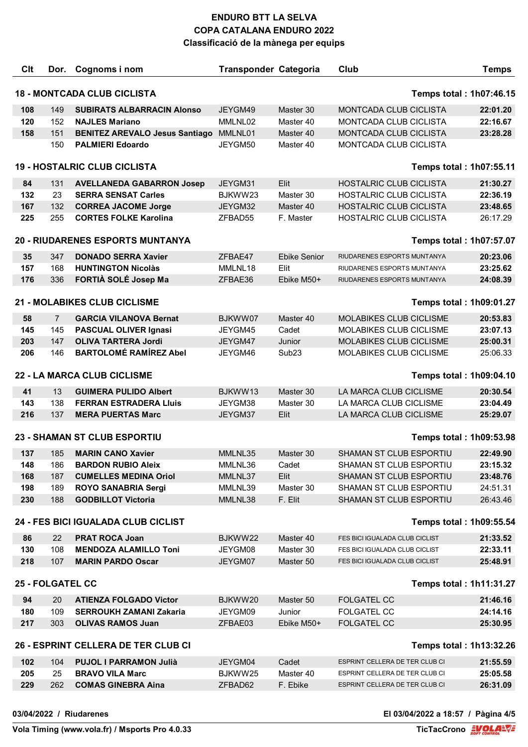| Clt                                                            | Dor.           | Cognoms i nom                         | <b>Transponder Categoria</b> |                     | <b>Club</b>                    | <b>Temps</b> |  |
|----------------------------------------------------------------|----------------|---------------------------------------|------------------------------|---------------------|--------------------------------|--------------|--|
| <b>18 - MONTCADA CLUB CICLISTA</b><br>Temps total: 1h07:46.15  |                |                                       |                              |                     |                                |              |  |
| 108                                                            | 149            | <b>SUBIRATS ALBARRACIN Alonso</b>     | JEYGM49                      | Master 30           | MONTCADA CLUB CICLISTA         | 22:01.20     |  |
| 120                                                            | 152            | <b>NAJLES Mariano</b>                 | MMLNL02                      | Master 40           | <b>MONTCADA CLUB CICLISTA</b>  | 22:16.67     |  |
| 158                                                            | 151            | <b>BENITEZ AREVALO Jesus Santiago</b> | MMLNL01                      | Master 40           | MONTCADA CLUB CICLISTA         | 23:28.28     |  |
|                                                                | 150            | <b>PALMIERI Edoardo</b>               | JEYGM50                      | Master 40           | MONTCADA CLUB CICLISTA         |              |  |
|                                                                |                |                                       |                              |                     |                                |              |  |
|                                                                |                | <b>19 - HOSTALRIC CLUB CICLISTA</b>   |                              |                     | <b>Temps total: 1h07:55.11</b> |              |  |
| 84                                                             | 131            | <b>AVELLANEDA GABARRON Josep</b>      | JEYGM31                      | Elit                | <b>HOSTALRIC CLUB CICLISTA</b> | 21:30.27     |  |
| 132                                                            | 23             | <b>SERRA SENSAT Carles</b>            | BJKWW23                      | Master 30           | <b>HOSTALRIC CLUB CICLISTA</b> | 22:36.19     |  |
| 167                                                            | 132            | <b>CORREA JACOME Jorge</b>            | JEYGM32                      | Master 40           | <b>HOSTALRIC CLUB CICLISTA</b> | 23:48.65     |  |
| 225                                                            | 255            | <b>CORTES FOLKE Karolina</b>          | ZFBAD55                      | F. Master           | HOSTALRIC CLUB CICLISTA        | 26:17.29     |  |
|                                                                |                | 20 - RIUDARENES ESPORTS MUNTANYA      |                              |                     | Temps total: 1h07:57.07        |              |  |
| 35                                                             | 347            | <b>DONADO SERRA Xavier</b>            | ZFBAE47                      | <b>Ebike Senior</b> | RIUDARENES ESPORTS MUNTANYA    | 20:23.06     |  |
| 157                                                            | 168            | <b>HUNTINGTON Nicolàs</b>             | MMLNL18                      | Elit                | RIUDARENES ESPORTS MUNTANYA    | 23:25.62     |  |
| 176                                                            | 336            | FORTIÀ SOLÉ Josep Ma                  | ZFBAE36                      | Ebike M50+          | RIUDARENES ESPORTS MUNTANYA    | 24:08.39     |  |
|                                                                |                | 21 - MOLABIKES CLUB CICLISME          |                              |                     | <b>Temps total: 1h09:01.27</b> |              |  |
| 58                                                             | $\overline{7}$ | <b>GARCIA VILANOVA Bernat</b>         | BJKWW07                      | Master 40           | <b>MOLABIKES CLUB CICLISME</b> | 20:53.83     |  |
| 145                                                            | 145            | <b>PASCUAL OLIVER Ignasi</b>          | JEYGM45                      | Cadet               | MOLABIKES CLUB CICLISME        | 23:07.13     |  |
| 203                                                            | 147            | <b>OLIVA TARTERA Jordi</b>            | JEYGM47                      | Junior              | <b>MOLABIKES CLUB CICLISME</b> | 25:00.31     |  |
| 206                                                            | 146            | <b>BARTOLOMÉ RAMÍREZ Abel</b>         | JEYGM46                      | Sub <sub>23</sub>   | MOLABIKES CLUB CICLISME        | 25:06.33     |  |
|                                                                |                | 22 - LA MARCA CLUB CICLISME           |                              |                     | <b>Temps total: 1h09:04.10</b> |              |  |
|                                                                |                |                                       |                              |                     |                                |              |  |
| 41                                                             | 13             | <b>GUIMERA PULIDO Albert</b>          | BJKWW13                      | Master 30           | LA MARCA CLUB CICLISME         | 20:30.54     |  |
| 143                                                            | 138            | <b>FERRAN ESTRADERA Lluis</b>         | JEYGM38                      | Master 30           | LA MARCA CLUB CICLISME         | 23:04.49     |  |
| 216                                                            | 137            | <b>MERA PUERTAS Marc</b>              | JEYGM37                      | Elit                | LA MARCA CLUB CICLISME         | 25:29.07     |  |
|                                                                |                | <b>23 - SHAMAN ST CLUB ESPORTIU</b>   |                              |                     | <b>Temps total: 1h09:53.98</b> |              |  |
| 137                                                            | 185            | <b>MARIN CANO Xavier</b>              | MMLNL35                      | Master 30           | SHAMAN ST CLUB ESPORTIU        | 22:49.90     |  |
| 148                                                            | 186            | <b>BARDON RUBIO Aleix</b>             | MMLNL36                      | Cadet               | SHAMAN ST CLUB ESPORTIU        | 23:15.32     |  |
| 168                                                            | 187            | <b>CUMELLES MEDINA Oriol</b>          | MMLNL37                      | Elit                | SHAMAN ST CLUB ESPORTIU        | 23:48.76     |  |
| 198                                                            | 189            | <b>ROYO SANABRIA Sergi</b>            | MMLNL39                      | Master 30           | SHAMAN ST CLUB ESPORTIU        | 24:51.31     |  |
| 230                                                            | 188            | <b>GODBILLOT Victoria</b>             | MMLNL38                      | F. Elit             | SHAMAN ST CLUB ESPORTIU        | 26:43.46     |  |
|                                                                |                | 24 - FES BICI IGUALADA CLUB CICLIST   |                              |                     | Temps total: 1h09:55.54        |              |  |
| 86                                                             | 22             | <b>PRAT ROCA Joan</b>                 | BJKWW22                      | Master 40           | FES BICI IGUALADA CLUB CICLIST | 21:33.52     |  |
| 130                                                            | 108            | <b>MENDOZA ALAMILLO Toni</b>          | JEYGM08                      | Master 30           | FES BICI IGUALADA CLUB CICLIST | 22:33.11     |  |
| 218                                                            | 107            | <b>MARIN PARDO Oscar</b>              | JEYGM07                      | Master 50           | FES BICI IGUALADA CLUB CICLIST | 25:48.91     |  |
| <b>25 - FOLGATEL CC</b><br><b>Temps total: 1h11:31.27</b>      |                |                                       |                              |                     |                                |              |  |
| 94                                                             | 20             | <b>ATIENZA FOLGADO Victor</b>         | BJKWW20                      | Master 50           | <b>FOLGATEL CC</b>             | 21:46.16     |  |
| 180                                                            | 109            | <b>SERROUKH ZAMANI Zakaria</b>        | JEYGM09                      | Junior              | <b>FOLGATEL CC</b>             | 24:14.16     |  |
| 217                                                            | 303            | <b>OLIVAS RAMOS Juan</b>              | ZFBAE03                      | Ebike M50+          | <b>FOLGATEL CC</b>             | 25:30.95     |  |
| 26 - ESPRINT CELLERA DE TER CLUB CI<br>Temps total: 1h13:32.26 |                |                                       |                              |                     |                                |              |  |
| 102                                                            | 104            | <b>PUJOL I PARRAMON Julià</b>         | JEYGM04                      | Cadet               | ESPRINT CELLERA DE TER CLUB CI | 21:55.59     |  |
| 205                                                            | 25             | <b>BRAVO VILA Marc</b>                | BJKWW25                      | Master 40           | ESPRINT CELLERA DE TER CLUB CI | 25:05.58     |  |
| 229                                                            | 262            | <b>COMAS GINEBRA Aina</b>             | ZFBAD62                      | F. Ebike            | ESPRINT CELLERA DE TER CLUB CI | 26:31.09     |  |
|                                                                |                |                                       |                              |                     |                                |              |  |

#### **03/04/2022 / Riudarenes El 03/04/2022 a 18:57 / Pàgina 4/5**